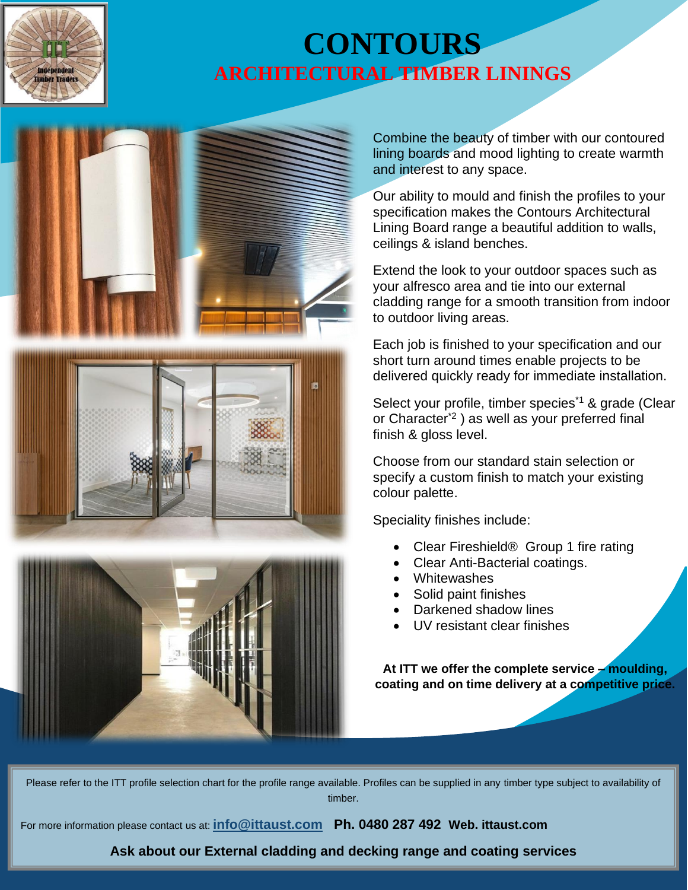

## **CONTOURS ARCHITECTURAL TIMBER LININGS**



Combine the beauty of timber with our contoured lining boards and mood lighting to create warmth and interest to any space.

Our ability to mould and finish the profiles to your specification makes the Contours Architectural Lining Board range a beautiful addition to walls, ceilings & island benches.

Extend the look to your outdoor spaces such as your alfresco area and tie into our external cladding range for a smooth transition from indoor to outdoor living areas.

Each job is finished to your specification and our short turn around times enable projects to be delivered quickly ready for immediate installation.

Select your profile, timber species<sup>\*1</sup> & grade (Clear or Character\*2 ) as well as your preferred final finish & gloss level.

Choose from our standard stain selection or specify a custom finish to match your existing colour palette.

Speciality finishes include:

- Clear Fireshield® Group 1 fire rating
- Clear Anti-Bacterial coatings.
- Whitewashes
- Solid paint finishes
- Darkened shadow lines
- UV resistant clear finishes

**At ITT we offer the complete service – moulding, coating and on time delivery at a competitive price.**

Please refer to the ITT profile selection chart for the profile range available. Profiles can be supplied in any timber type subject to availability of timber.

For more information please contact us at: **[info@ittaust.com](mailto:info@ittaust.com) Ph. 0480 287 492 Web. ittaust.com**

**Ask about our External cladding and decking range and coating services**